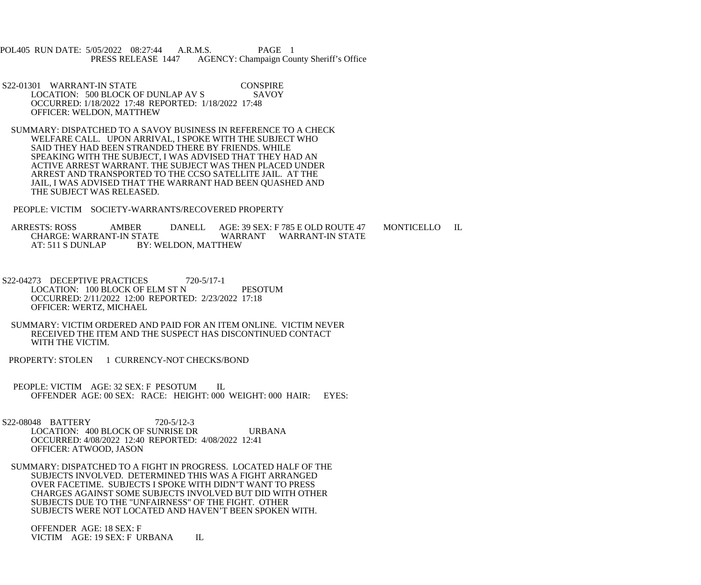POL405 RUN DATE: 5/05/2022 08:27:44 A.R.M.S. PAGE 1<br>PRESS RELEASE 1447 AGENCY: Champaign Cou AGENCY: Champaign County Sheriff's Office

S22-01301 WARRANT-IN STATE CONSPIRE<br>LOCATION: 500 BLOCK OF DUNLAP AV S SAVOY LOCATION: 500 BLOCK OF DUNLAP AV S OCCURRED: 1/18/2022 17:48 REPORTED: 1/18/2022 17:48 OFFICER: WELDON, MATTHEW

 SUMMARY: DISPATCHED TO A SAVOY BUSINESS IN REFERENCE TO A CHECK WELFARE CALL. UPON ARRIVAL, I SPOKE WITH THE SUBJECT WHO SAID THEY HAD BEEN STRANDED THERE BY FRIENDS. WHILE SPEAKING WITH THE SUBJECT, I WAS ADVISED THAT THEY HAD AN ACTIVE ARREST WARRANT. THE SUBJECT WAS THEN PLACED UNDER ARREST AND TRANSPORTED TO THE CCSO SATELLITE JAIL. AT THE JAIL, I WAS ADVISED THAT THE WARRANT HAD BEEN QUASHED AND THE SUBJECT WAS RELEASED.

PEOPLE: VICTIM SOCIETY-WARRANTS/RECOVERED PROPERTY

ARRESTS: ROSS AMBER DANELL AGE: 39 SEX: F 785 E OLD ROUTE 47 MONTICELLO IL CHARGE: WARRANT WARRANT WARRANT-IN STATE CHARGE: WARRANT-IN STATE<br>AT: 511 S DUNLAP BY: W BY: WELDON, MATTHEW

- S22-04273 DECEPTIVE PRACTICES 720-5/17-1 LOCATION: 100 BLOCK OF ELM ST N PESOTUM OCCURRED: 2/11/2022 12:00 REPORTED: 2/23/2022 17:18 OFFICER: WERTZ, MICHAEL
- SUMMARY: VICTIM ORDERED AND PAID FOR AN ITEM ONLINE. VICTIM NEVER RECEIVED THE ITEM AND THE SUSPECT HAS DISCONTINUED CONTACT WITH THE VICTIM.
- PROPERTY: STOLEN 1 CURRENCY-NOT CHECKS/BOND
- PEOPLE: VICTIM AGE: 32 SEX: F PESOTUM IL OFFENDER AGE: 00 SEX: RACE: HEIGHT: 000 WEIGHT: 000 HAIR: EYES:

 S22-08048 BATTERY 720-5/12-3 LOCATION: 400 BLOCK OF SUNRISE DR URBANA OCCURRED: 4/08/2022 12:40 REPORTED: 4/08/2022 12:41 OFFICER: ATWOOD, JASON

 SUMMARY: DISPATCHED TO A FIGHT IN PROGRESS. LOCATED HALF OF THE SUBJECTS INVOLVED. DETERMINED THIS WAS A FIGHT ARRANGED OVER FACETIME. SUBJECTS I SPOKE WITH DIDN'T WANT TO PRESS CHARGES AGAINST SOME SUBJECTS INVOLVED BUT DID WITH OTHER SUBJECTS DUE TO THE "UNFAIRNESS" OF THE FIGHT. OTHER SUBJECTS WERE NOT LOCATED AND HAVEN'T BEEN SPOKEN WITH.

 OFFENDER AGE: 18 SEX: F VICTIM AGE: 19 SEX: F URBANA IL